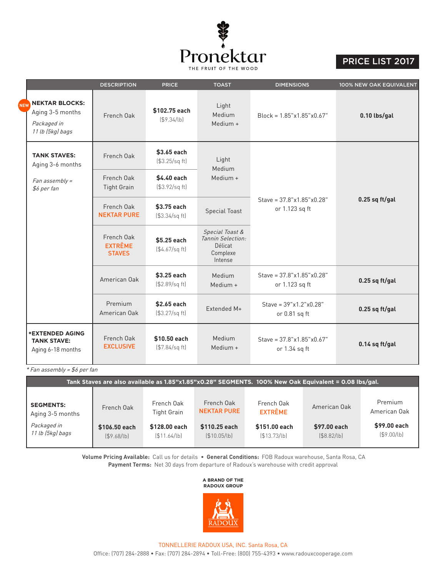

## PRICE LIST 2017

|            |                                                                              | <b>DESCRIPTION</b>                            | <b>PRICE</b><br><b>TOAST</b><br><b>DIMENSIONS</b> |                                                                        | 100% NEW OAK EQUIVALENT                        |                  |  |
|------------|------------------------------------------------------------------------------|-----------------------------------------------|---------------------------------------------------|------------------------------------------------------------------------|------------------------------------------------|------------------|--|
| <b>NEW</b> | <b>NEKTAR BLOCKS:</b><br>Aging 3-5 months<br>Packaged in<br>11 lb (5kg) bags | French Oak                                    | \$102.75 each<br>(\$9.34/lb)                      | Light<br>Medium<br>Medium +                                            | $Block = 1.85"x1.85"x0.67"$                    | 0.10 lbs/gal     |  |
|            | <b>TANK STAVES:</b><br>Aging 3-6 months                                      | French Oak                                    | \$3.65 each<br>(\$3.25/sq ft)                     | Light<br>Medium                                                        |                                                |                  |  |
|            | Fan assembly =<br>\$6 per fan                                                | French Oak<br><b>Tight Grain</b>              | \$4.40 each<br>(\$3.92/sq ft)                     | Medium +                                                               |                                                |                  |  |
|            |                                                                              | French Oak<br><b>NEKTAR PURE</b>              | \$3.75 each<br>(\$3.34/sq ft)                     | <b>Special Toast</b>                                                   | Stave = $37.8$ "x1.85"x0.28"<br>or 1.123 sq ft | $0.25$ sq ft/gal |  |
|            |                                                                              | French Oak<br><b>EXTRÊME</b><br><b>STAVES</b> | \$5.25 each<br>(\$4.67/sq ft]                     | Special Toast &<br>Tannin Selection:<br>Délicat<br>Complexe<br>Intense |                                                |                  |  |
|            |                                                                              | American Oak                                  | \$3.25 each<br>(\$2.89/sq ft)                     | Medium<br>Medium +                                                     | Stave = $37.8$ "x1.85"x0.28"<br>or 1.123 sq ft | $0.25$ sq ft/gal |  |
|            |                                                                              | Premium<br>American Oak                       | \$2.65 each<br>(\$3.27/sq ft)                     | Extended M+                                                            | Stave = $39"x1.2"x0.28"$<br>or 0.81 sq ft      | $0.25$ sq ft/gal |  |
|            | <b>*EXTENDED AGING</b><br><b>TANK STAVE:</b><br>Aging 6-18 months            | French Oak<br><b>EXCLUSIVE</b>                | \$10,50 each<br>(\$7.84/sq ft)                    | Medium<br>Medium +                                                     | Stave = $37.8$ "x1.85"x0.67"<br>or 1.34 sq ft  | $0.14$ sq ft/gal |  |

\* Fan assembly = \$6 per fan

| Tank Staves are also available as 1.85"x1.85"x0.28" SEGMENTS. 100% New Oak Equivalent = 0.08 lbs/gal. |                              |                                  |                                  |                              |                           |                              |  |  |
|-------------------------------------------------------------------------------------------------------|------------------------------|----------------------------------|----------------------------------|------------------------------|---------------------------|------------------------------|--|--|
|                                                                                                       |                              |                                  |                                  |                              |                           |                              |  |  |
| <b>SEGMENTS:</b><br>Aging 3-5 months                                                                  | French Oak                   | French Oak<br><b>Tight Grain</b> | French Oak<br><b>NEKTAR PURE</b> | French Oak<br><b>EXTRÊME</b> | American Oak              | Premium<br>American Oak      |  |  |
| Packaged in<br>11 lb (5kg) bags                                                                       | \$106.50 each<br>(\$9.68/lb) | \$128,00 each<br>\$11.64/b]      | \$110.25 each<br>\$10.05/lb]     | \$151.00 each<br>(S13.73/b)  | \$97.00 each<br>\$8.82/b] | \$99.00 each<br>( \$9.00/lb] |  |  |

**Volume Pricing Available:** Call us for details • **General Conditions:** FOB Radoux warehouse, Santa Rosa, CA **Payment Terms:** Net 30 days from departure of Radoux's warehouse with credit approval

## **A BRAND OF THE RADOUX GROUP**